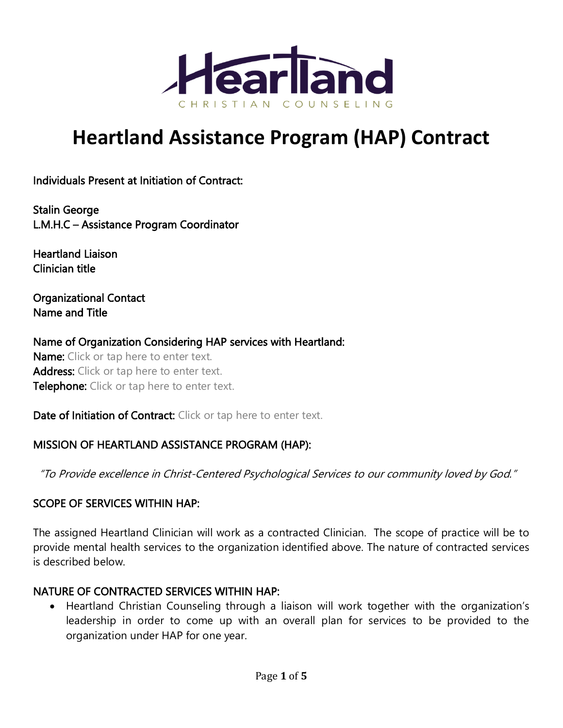

# **Heartland Assistance Program (HAP) Contract**

Individuals Present at Initiation of Contract:

Stalin George L.M.H.C – Assistance Program Coordinator

Heartland Liaison Clinician title

Organizational Contact Name and Title

Name of Organization Considering HAP services with Heartland: Name: Click or tap here to enter text. Address: Click or tap here to enter text. Telephone: Click or tap here to enter text.

Date of Initiation of Contract: Click or tap here to enter text.

#### MISSION OF HEARTLAND ASSISTANCE PROGRAM (HAP):

"To Provide excellence in Christ-Centered Psychological Services to our community loved by God."

#### SCOPE OF SERVICES WITHIN HAP:

The assigned Heartland Clinician will work as a contracted Clinician. The scope of practice will be to provide mental health services to the organization identified above. The nature of contracted services is described below.

#### NATURE OF CONTRACTED SERVICES WITHIN HAP:

• Heartland Christian Counseling through a liaison will work together with the organization's leadership in order to come up with an overall plan for services to be provided to the organization under HAP for one year.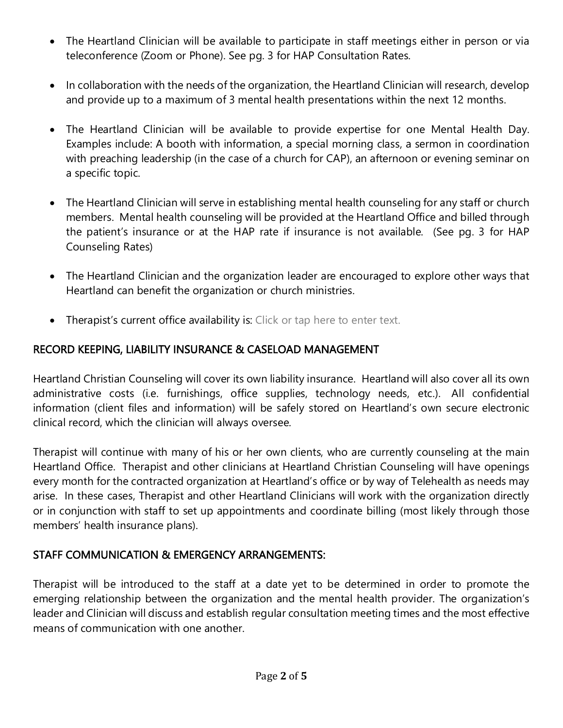- The Heartland Clinician will be available to participate in staff meetings either in person or via teleconference (Zoom or Phone). See pg. 3 for HAP Consultation Rates.
- In collaboration with the needs of the organization, the Heartland Clinician will research, develop and provide up to a maximum of 3 mental health presentations within the next 12 months.
- The Heartland Clinician will be available to provide expertise for one Mental Health Day. Examples include: A booth with information, a special morning class, a sermon in coordination with preaching leadership (in the case of a church for CAP), an afternoon or evening seminar on a specific topic.
- The Heartland Clinician will serve in establishing mental health counseling for any staff or church members. Mental health counseling will be provided at the Heartland Office and billed through the patient's insurance or at the HAP rate if insurance is not available. (See pg. 3 for HAP Counseling Rates)
- The Heartland Clinician and the organization leader are encouraged to explore other ways that Heartland can benefit the organization or church ministries.
- Therapist's current office availability is: Click or tap here to enter text.

# RECORD KEEPING, LIABILITY INSURANCE & CASELOAD MANAGEMENT

Heartland Christian Counseling will cover its own liability insurance. Heartland will also cover all its own administrative costs (i.e. furnishings, office supplies, technology needs, etc.). All confidential information (client files and information) will be safely stored on Heartland's own secure electronic clinical record, which the clinician will always oversee.

Therapist will continue with many of his or her own clients, who are currently counseling at the main Heartland Office. Therapist and other clinicians at Heartland Christian Counseling will have openings every month for the contracted organization at Heartland's office or by way of Telehealth as needs may arise. In these cases, Therapist and other Heartland Clinicians will work with the organization directly or in conjunction with staff to set up appointments and coordinate billing (most likely through those members' health insurance plans).

# STAFF COMMUNICATION & EMERGENCY ARRANGEMENTS:

Therapist will be introduced to the staff at a date yet to be determined in order to promote the emerging relationship between the organization and the mental health provider. The organization's leader and Clinician will discuss and establish regular consultation meeting times and the most effective means of communication with one another.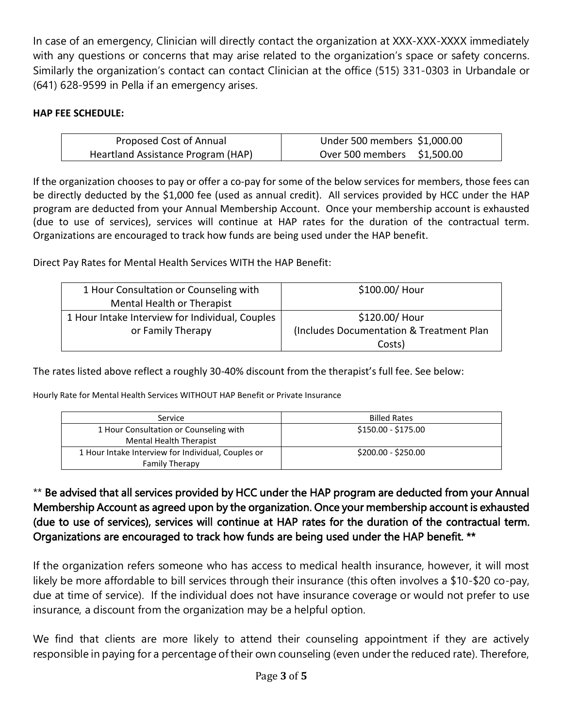In case of an emergency, Clinician will directly contact the organization at XXX-XXX-XXXX immediately with any questions or concerns that may arise related to the organization's space or safety concerns. Similarly the organization's contact can contact Clinician at the office (515) 331-0303 in Urbandale or (641) 628-9599 in Pella if an emergency arises.

#### **HAP FEE SCHEDULE:**

| Proposed Cost of Annual            | Under 500 members \$1,000.00 |
|------------------------------------|------------------------------|
| Heartland Assistance Program (HAP) | Over 500 members \$1,500.00  |

If the organization chooses to pay or offer a co-pay for some of the below services for members, those fees can be directly deducted by the \$1,000 fee (used as annual credit). All services provided by HCC under the HAP program are deducted from your Annual Membership Account. Once your membership account is exhausted (due to use of services), services will continue at HAP rates for the duration of the contractual term. Organizations are encouraged to track how funds are being used under the HAP benefit.

Direct Pay Rates for Mental Health Services WITH the HAP Benefit:

| 1 Hour Consultation or Counseling with          | \$100.00/ Hour                           |
|-------------------------------------------------|------------------------------------------|
| Mental Health or Therapist                      |                                          |
| 1 Hour Intake Interview for Individual, Couples | \$120.00/ Hour                           |
| or Family Therapy                               | (Includes Documentation & Treatment Plan |
|                                                 | Costs)                                   |

The rates listed above reflect a roughly 30-40% discount from the therapist's full fee. See below:

Hourly Rate for Mental Health Services WITHOUT HAP Benefit or Private Insurance

| Service                                            | <b>Billed Rates</b> |
|----------------------------------------------------|---------------------|
| 1 Hour Consultation or Counseling with             | \$150.00 - \$175.00 |
| Mental Health Therapist                            |                     |
| 1 Hour Intake Interview for Individual, Couples or | \$200.00 - \$250.00 |
| <b>Family Therapy</b>                              |                     |

## \*\* Be advised that all services provided by HCC under the HAP program are deducted from your Annual Membership Account as agreed upon by the organization. Once your membership account is exhausted (due to use of services), services will continue at HAP rates for the duration of the contractual term. Organizations are encouraged to track how funds are being used under the HAP benefit. \*\*

If the organization refers someone who has access to medical health insurance, however, it will most likely be more affordable to bill services through their insurance (this often involves a \$10-\$20 co-pay, due at time of service). If the individual does not have insurance coverage or would not prefer to use insurance, a discount from the organization may be a helpful option.

We find that clients are more likely to attend their counseling appointment if they are actively responsible in paying for a percentage of their own counseling (even under the reduced rate). Therefore,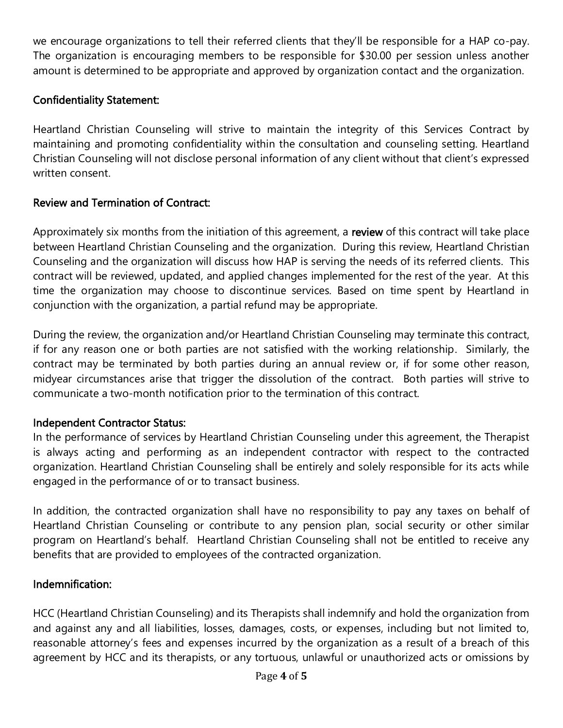we encourage organizations to tell their referred clients that they'll be responsible for a HAP co-pay. The organization is encouraging members to be responsible for \$30.00 per session unless another amount is determined to be appropriate and approved by organization contact and the organization.

## Confidentiality Statement:

Heartland Christian Counseling will strive to maintain the integrity of this Services Contract by maintaining and promoting confidentiality within the consultation and counseling setting. Heartland Christian Counseling will not disclose personal information of any client without that client's expressed written consent.

## Review and Termination of Contract:

Approximately six months from the initiation of this agreement, a review of this contract will take place between Heartland Christian Counseling and the organization. During this review, Heartland Christian Counseling and the organization will discuss how HAP is serving the needs of its referred clients. This contract will be reviewed, updated, and applied changes implemented for the rest of the year. At this time the organization may choose to discontinue services. Based on time spent by Heartland in conjunction with the organization, a partial refund may be appropriate.

During the review, the organization and/or Heartland Christian Counseling may terminate this contract, if for any reason one or both parties are not satisfied with the working relationship. Similarly, the contract may be terminated by both parties during an annual review or, if for some other reason, midyear circumstances arise that trigger the dissolution of the contract. Both parties will strive to communicate a two-month notification prior to the termination of this contract.

#### Independent Contractor Status:

In the performance of services by Heartland Christian Counseling under this agreement, the Therapist is always acting and performing as an independent contractor with respect to the contracted organization. Heartland Christian Counseling shall be entirely and solely responsible for its acts while engaged in the performance of or to transact business.

In addition, the contracted organization shall have no responsibility to pay any taxes on behalf of Heartland Christian Counseling or contribute to any pension plan, social security or other similar program on Heartland's behalf. Heartland Christian Counseling shall not be entitled to receive any benefits that are provided to employees of the contracted organization.

#### Indemnification:

HCC (Heartland Christian Counseling) and its Therapists shall indemnify and hold the organization from and against any and all liabilities, losses, damages, costs, or expenses, including but not limited to, reasonable attorney's fees and expenses incurred by the organization as a result of a breach of this agreement by HCC and its therapists, or any tortuous, unlawful or unauthorized acts or omissions by